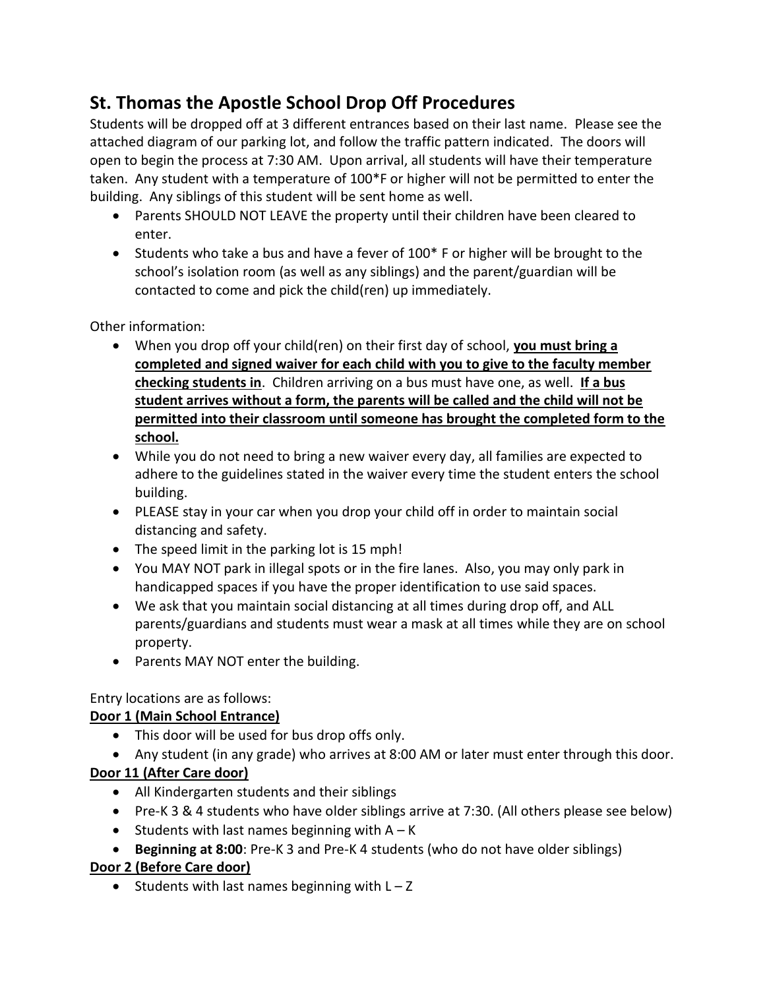# **St. Thomas the Apostle School Drop Off Procedures**

Students will be dropped off at 3 different entrances based on their last name. Please see the attached diagram of our parking lot, and follow the traffic pattern indicated. The doors will open to begin the process at 7:30 AM. Upon arrival, all students will have their temperature taken. Any student with a temperature of 100\*F or higher will not be permitted to enter the building. Any siblings of this student will be sent home as well.

- Parents SHOULD NOT LEAVE the property until their children have been cleared to enter.
- Students who take a bus and have a fever of 100\* F or higher will be brought to the school's isolation room (as well as any siblings) and the parent/guardian will be contacted to come and pick the child(ren) up immediately.

Other information:

- When you drop off your child(ren) on their first day of school, **you must bring a completed and signed waiver for each child with you to give to the faculty member checking students in**. Children arriving on a bus must have one, as well. **If a bus student arrives without a form, the parents will be called and the child will not be permitted into their classroom until someone has brought the completed form to the school.**
- While you do not need to bring a new waiver every day, all families are expected to adhere to the guidelines stated in the waiver every time the student enters the school building.
- PLEASE stay in your car when you drop your child off in order to maintain social distancing and safety.
- The speed limit in the parking lot is 15 mph!
- You MAY NOT park in illegal spots or in the fire lanes. Also, you may only park in handicapped spaces if you have the proper identification to use said spaces.
- We ask that you maintain social distancing at all times during drop off, and ALL parents/guardians and students must wear a mask at all times while they are on school property.
- Parents MAY NOT enter the building.

# Entry locations are as follows:

# **Door 1 (Main School Entrance)**

- This door will be used for bus drop offs only.
- Any student (in any grade) who arrives at 8:00 AM or later must enter through this door.

# **Door 11 (After Care door)**

- All Kindergarten students and their siblings
- Pre-K 3 & 4 students who have older siblings arrive at 7:30. (All others please see below)
- Students with last names beginning with  $A K$
- **Beginning at 8:00**: Pre-K 3 and Pre-K 4 students (who do not have older siblings)

# **Door 2 (Before Care door)**

• Students with last names beginning with  $L - Z$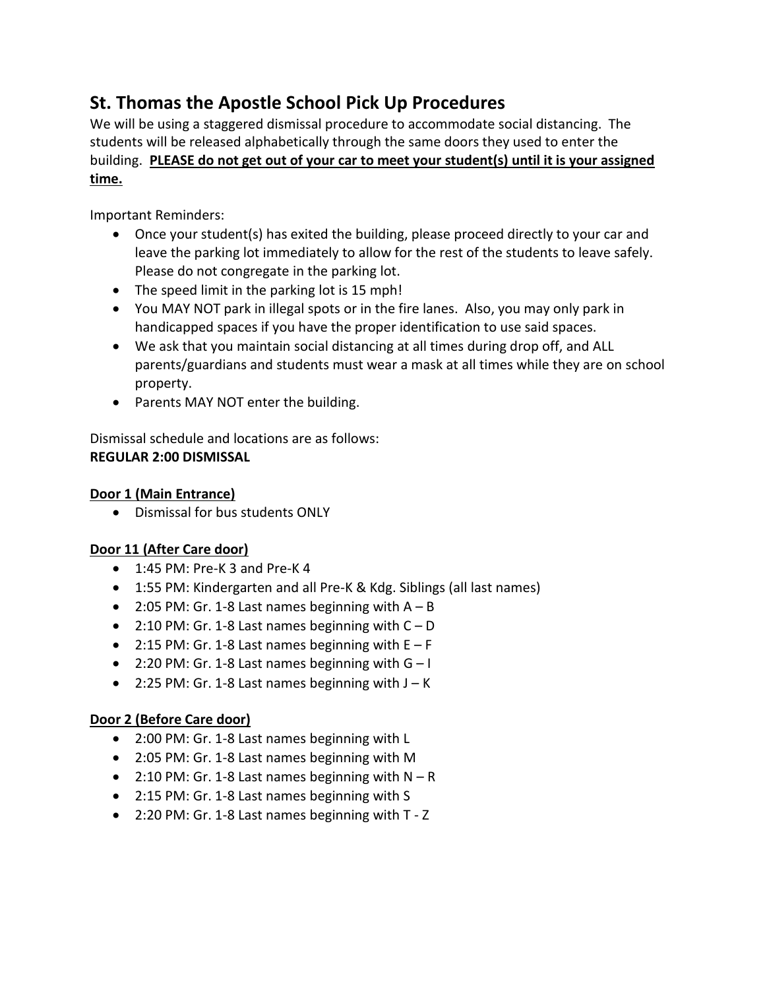# **St. Thomas the Apostle School Pick Up Procedures**

We will be using a staggered dismissal procedure to accommodate social distancing. The students will be released alphabetically through the same doors they used to enter the building. **PLEASE do not get out of your car to meet your student(s) until it is your assigned time.** 

Important Reminders:

- Once your student(s) has exited the building, please proceed directly to your car and leave the parking lot immediately to allow for the rest of the students to leave safely. Please do not congregate in the parking lot.
- The speed limit in the parking lot is 15 mph!
- You MAY NOT park in illegal spots or in the fire lanes. Also, you may only park in handicapped spaces if you have the proper identification to use said spaces.
- We ask that you maintain social distancing at all times during drop off, and ALL parents/guardians and students must wear a mask at all times while they are on school property.
- Parents MAY NOT enter the building.

Dismissal schedule and locations are as follows: **REGULAR 2:00 DISMISSAL**

## **Door 1 (Main Entrance)**

Dismissal for bus students ONLY

## **Door 11 (After Care door)**

- 1:45 PM: Pre-K 3 and Pre-K 4
- 1:55 PM: Kindergarten and all Pre-K & Kdg. Siblings (all last names)
- 2:05 PM: Gr. 1-8 Last names beginning with  $A B$
- $\bullet$  2:10 PM: Gr. 1-8 Last names beginning with  $C D$
- $\bullet$  2:15 PM: Gr. 1-8 Last names beginning with E F
- $\bullet$  2:20 PM: Gr. 1-8 Last names beginning with G-I
- 2:25 PM: Gr. 1-8 Last names beginning with  $J K$

### **Door 2 (Before Care door)**

- 2:00 PM: Gr. 1-8 Last names beginning with L
- 2:05 PM: Gr. 1-8 Last names beginning with M
- $\bullet$  2:10 PM: Gr. 1-8 Last names beginning with N R
- 2:15 PM: Gr. 1-8 Last names beginning with S
- 2:20 PM: Gr. 1-8 Last names beginning with T Z